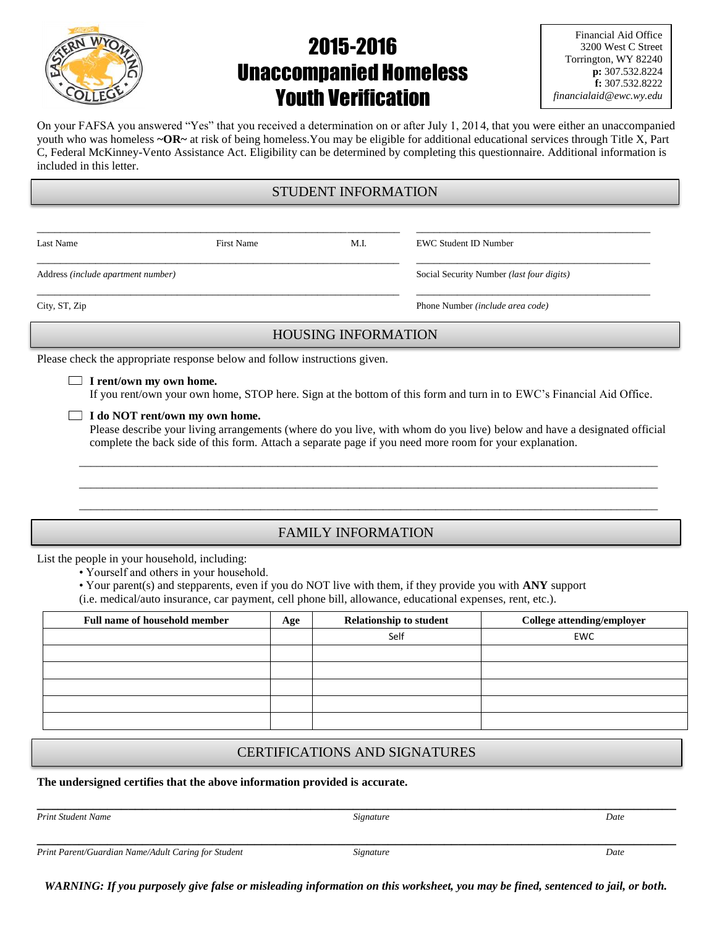

# 2015-2016 Unaccompanied Homeless Youth Verification

| Financial Aid Office    |
|-------------------------|
| 3200 West C Street      |
| Torrington, WY 82240    |
| p: 307.532.8224         |
| f: 307.532.8222         |
| financialaid@ewc.wy.edu |

On your FAFSA you answered "Yes" that you received a determination on or after July 1, 2014, that you were either an unaccompanied youth who was homeless **~OR~** at risk of being homeless.You may be eligible for additional educational services through Title X, Part C, Federal McKinney-Vento Assistance Act. Eligibility can be determined by completing this questionnaire. Additional information is included in this letter.

#### STUDENT INFORMATION

\_\_\_\_\_\_\_\_\_\_\_\_\_\_\_\_\_\_\_\_\_\_\_\_\_\_\_\_\_\_\_\_\_\_\_\_\_\_\_\_\_\_\_\_\_\_\_\_\_\_\_\_\_\_\_\_\_\_\_\_\_\_ \_\_\_\_\_\_\_\_\_\_\_\_\_\_\_\_\_\_\_\_\_\_\_\_\_\_\_\_\_\_\_\_\_\_\_\_\_\_\_\_

\_\_\_\_\_\_\_\_\_\_\_\_\_\_\_\_\_\_\_\_\_\_\_\_\_\_\_\_\_\_\_\_\_\_\_\_\_\_\_\_\_\_\_\_\_\_\_\_\_\_\_\_\_\_\_\_\_\_\_\_\_\_ \_\_\_\_\_\_\_\_\_\_\_\_\_\_\_\_\_\_\_\_\_\_\_\_\_\_\_\_\_\_\_\_\_\_\_\_\_\_\_\_

Last Name First Name M.I. EWC Student ID Number

Address *(include apartment number)* Social Security Number *(last four digits)*

\_\_\_\_\_\_\_\_\_\_\_\_\_\_\_\_\_\_\_\_\_\_\_\_\_\_\_\_\_\_\_\_\_\_\_\_\_\_\_\_\_\_\_\_\_\_\_\_\_\_\_\_\_\_\_\_\_\_\_\_\_\_ \_\_\_\_\_\_\_\_\_\_\_\_\_\_\_\_\_\_\_\_\_\_\_\_\_\_\_\_\_\_\_\_\_\_\_\_\_\_\_\_

City, ST, Zip Phone Number *(include area code)*

#### HOUSING INFORMATION

Please check the appropriate response below and follow instructions given.

#### **I rent/own my own home.**

If you rent/own your own home, STOP here. Sign at the bottom of this form and turn in to EWC's Financial Aid Office.

#### **I do NOT rent/own my own home.**

Please describe your living arrangements (where do you live, with whom do you live) below and have a designated official complete the back side of this form. Attach a separate page if you need more room for your explanation.

 $\_$  ,  $\_$  ,  $\_$  ,  $\_$  ,  $\_$  ,  $\_$  ,  $\_$  ,  $\_$  ,  $\_$  ,  $\_$  ,  $\_$  ,  $\_$  ,  $\_$  ,  $\_$  ,  $\_$  ,  $\_$  ,  $\_$  ,  $\_$  ,  $\_$  ,  $\_$  ,  $\_$  ,  $\_$  ,  $\_$  ,  $\_$  ,  $\_$  ,  $\_$  ,  $\_$  ,  $\_$  ,  $\_$  ,  $\_$  ,  $\_$  ,  $\_$  ,  $\_$  ,  $\_$  ,  $\_$  ,  $\_$  ,  $\_$  ,  $\_$  ,  $\_$  ,  $\_$  ,  $\_$  ,  $\_$  ,  $\_$  ,  $\_$  ,  $\_$  ,  $\_$  ,  $\_$  ,  $\_$  ,  $\_$  ,  $\_$  ,  $\_$  ,  $\_$  ,  $\_$  ,  $\_$  ,  $\_$  ,  $\_$  ,  $\_$  ,  $\_$  ,  $\_$  ,  $\_$  ,  $\_$  ,  $\_$  ,  $\_$  ,  $\_$  ,  $\_$  ,  $\_$  ,  $\_$  ,  $\_$  ,  $\_$  ,  $\_$  ,  $\_$  ,  $\_$  ,  $\_$  ,  $\_$  , \_\_\_\_\_\_\_\_\_\_\_\_\_\_\_\_\_\_\_\_\_\_\_\_\_\_\_\_\_\_\_\_\_\_\_\_\_\_\_\_\_\_\_\_\_\_\_\_\_\_\_\_\_\_\_\_\_\_\_\_\_\_\_\_\_\_\_\_\_\_\_\_\_\_\_\_\_\_\_\_\_\_\_\_\_\_\_\_\_\_\_\_\_\_\_\_\_\_\_

#### FAMILY INFORMATION

List the people in your household, including:

• Yourself and others in your household.

• Your parent(s) and stepparents, even if you do NOT live with them, if they provide you with **ANY** support

(i.e. medical/auto insurance, car payment, cell phone bill, allowance, educational expenses, rent, etc.).

| Full name of household member | Age | <b>Relationship to student</b> | College attending/employer |
|-------------------------------|-----|--------------------------------|----------------------------|
|                               |     | Self                           | <b>EWC</b>                 |
|                               |     |                                |                            |
|                               |     |                                |                            |
|                               |     |                                |                            |
|                               |     |                                |                            |
|                               |     |                                |                            |

#### CERTIFICATIONS AND SIGNATURES

**The undersigned certifies that the above information provided is accurate.**

*Print Student Name Signature Date*

**\_\_\_\_\_\_\_\_\_\_\_\_\_\_\_\_\_\_\_\_\_\_\_\_\_\_\_\_\_\_\_\_\_\_\_\_\_\_\_\_\_\_\_\_\_\_\_\_\_\_\_\_\_\_\_\_\_\_\_\_\_\_\_\_\_\_\_\_\_\_\_\_\_\_\_\_\_\_\_\_\_\_\_\_\_\_\_\_\_\_\_**

**\_\_\_\_\_\_\_\_\_\_\_\_\_\_\_\_\_\_\_\_\_\_\_\_\_\_\_\_\_\_\_\_\_\_\_\_\_\_\_\_\_\_\_\_\_\_\_\_\_\_\_\_\_\_\_\_\_\_\_\_\_\_\_\_\_\_\_\_\_\_\_\_\_\_\_\_\_\_\_\_\_\_\_\_\_\_\_\_\_\_\_** *Print Parent/Guardian Name/Adult Caring for Student Signature Date*

*WARNING: If you purposely give false or misleading information on this worksheet, you may be fined, sentenced to jail, or both.*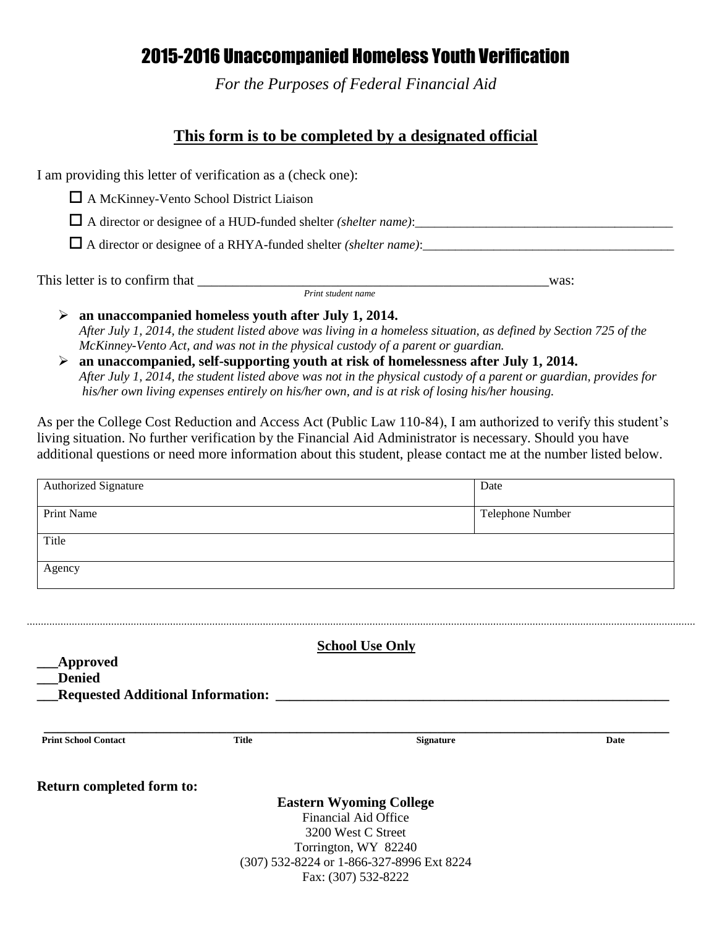## 2015-2016 Unaccompanied Homeless Youth Verification

*For the Purposes of Federal Financial Aid*

### **This form is to be completed by a designated official**

I am providing this letter of verification as a (check one):

A McKinney-Vento School District Liaison

 $\Box$  A director or designee of a HUD-funded shelter *(shelter name)*:

A director or designee of a RHYA-funded shelter *(shelter name)*:\_\_\_\_\_\_\_\_\_\_\_\_\_\_\_\_\_\_\_\_\_\_\_\_\_\_\_\_\_\_\_\_\_\_\_\_\_\_\_

This letter is to confirm that \_\_\_\_\_\_\_\_\_\_\_\_\_\_\_\_\_\_\_\_\_\_\_\_\_\_\_\_\_\_\_\_\_\_\_\_\_\_\_\_\_\_\_\_\_\_\_\_\_\_was:  *Print student name*

- **an unaccompanied homeless youth after July 1, 2014.** *After July 1, 2014, the student listed above was living in a homeless situation, as defined by Section 725 of the McKinney-Vento Act, and was not in the physical custody of a parent or guardian.*
- **an unaccompanied, self-supporting youth at risk of homelessness after July 1, 2014.** *After July 1, 2014, the student listed above was not in the physical custody of a parent or guardian, provides for his/her own living expenses entirely on his/her own, and is at risk of losing his/her housing.*

As per the College Cost Reduction and Access Act (Public Law 110-84), I am authorized to verify this student's living situation. No further verification by the Financial Aid Administrator is necessary. Should you have additional questions or need more information about this student, please contact me at the number listed below.

| Authorized Signature                                     |                                          | Date                                                              |      |
|----------------------------------------------------------|------------------------------------------|-------------------------------------------------------------------|------|
| Print Name                                               |                                          | Telephone Number                                                  |      |
| Title                                                    |                                          |                                                                   |      |
| Agency                                                   |                                          |                                                                   |      |
|                                                          |                                          |                                                                   |      |
|                                                          |                                          | <b>School Use Only</b>                                            |      |
|                                                          |                                          |                                                                   |      |
| <b>Approved</b><br><b>Denied</b>                         |                                          |                                                                   |      |
|                                                          | <b>Requested Additional Information:</b> |                                                                   |      |
|                                                          | <b>Title</b>                             | Signature                                                         | Date |
|                                                          |                                          |                                                                   |      |
|                                                          |                                          | <b>Eastern Wyoming College</b>                                    |      |
|                                                          |                                          | <b>Financial Aid Office</b>                                       |      |
|                                                          |                                          | 3200 West C Street                                                |      |
| <b>Print School Contact</b><br>Return completed form to: |                                          | Torrington, WY 82240<br>(307) 532-8224 or 1-866-327-8996 Ext 8224 |      |

....